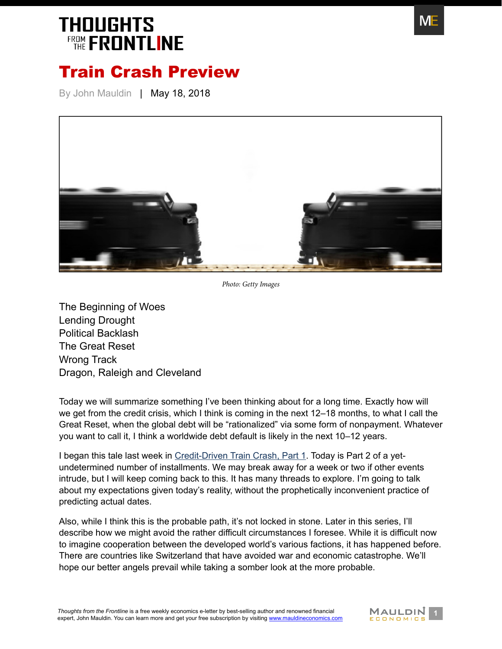

#### Train Crash Preview

By John Mauldin | May 18, 2018



*Photo: Getty Images*

[The Beginning of Woes](#page-1-0) [Lending Drought](#page-4-0) [Political Backlash](#page-4-1) [The Great Reset](#page-6-0) [Wrong Track](#page-7-0) [Dragon, Raleigh and Cleveland](#page-7-1)

Today we will summarize something I've been thinking about for a long time. Exactly how will we get from the credit crisis, which I think is coming in the next 12–18 months, to what I call the Great Reset, when the global debt will be "rationalized" via some form of nonpayment. Whatever you want to call it, I think a worldwide debt default is likely in the next 10–12 years.

I began this tale last week in [Credit-Driven Train Crash, Part 1](https://www.mauldineconomics.com/frontlinethoughts/credit-driven-train-crash-part-1). Today is Part 2 of a yetundetermined number of installments. We may break away for a week or two if other events intrude, but I will keep coming back to this. It has many threads to explore. I'm going to talk about my expectations given today's reality, without the prophetically inconvenient practice of predicting actual dates.

Also, while I think this is the probable path, it's not locked in stone. Later in this series, I'll describe how we might avoid the rather difficult circumstances I foresee. While it is difficult now to imagine cooperation between the developed world's various factions, it has happened before. There are countries like Switzerland that have avoided war and economic catastrophe. We'll hope our better angels prevail while taking a somber look at the more probable.

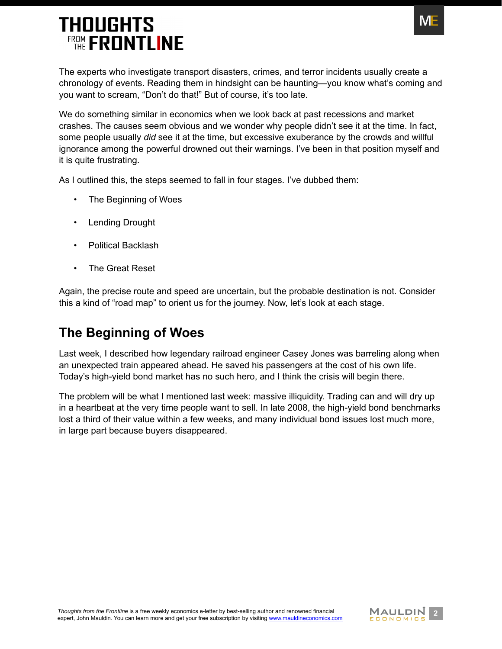

The experts who investigate transport disasters, crimes, and terror incidents usually create a chronology of events. Reading them in hindsight can be haunting—you know what's coming and you want to scream, "Don't do that!" But of course, it's too late.

We do something similar in economics when we look back at past recessions and market crashes. The causes seem obvious and we wonder why people didn't see it at the time. In fact, some people usually *did* see it at the time, but excessive exuberance by the crowds and willful ignorance among the powerful drowned out their warnings. I've been in that position myself and it is quite frustrating.

As I outlined this, the steps seemed to fall in four stages. I've dubbed them:

- The Beginning of Woes
- Lending Drought
- Political Backlash
- The Great Reset

Again, the precise route and speed are uncertain, but the probable destination is not. Consider this a kind of "road map" to orient us for the journey. Now, let's look at each stage.

#### <span id="page-1-0"></span>**The Beginning of Woes**

Last week, I described how legendary railroad engineer Casey Jones was barreling along when an unexpected train appeared ahead. He saved his passengers at the cost of his own life. Today's high-yield bond market has no such hero, and I think the crisis will begin there.

The problem will be what I mentioned last week: massive illiquidity. Trading can and will dry up in a heartbeat at the very time people want to sell. In late 2008, the high-yield bond benchmarks lost a third of their value within a few weeks, and many individual bond issues lost much more, in large part because buyers disappeared.

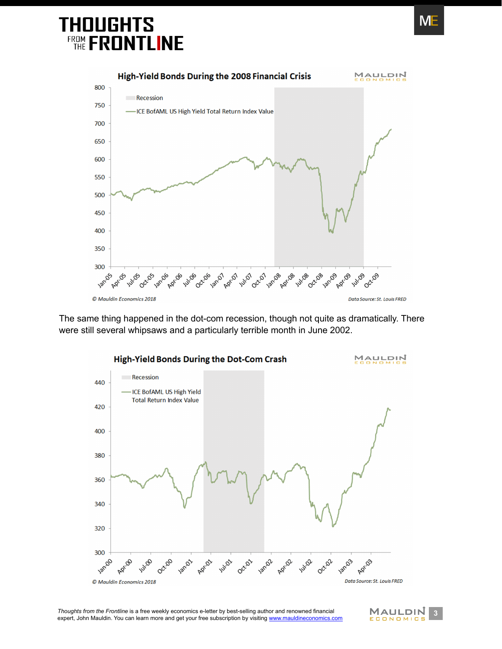

The same thing happened in the dot-com recession, though not quite as dramatically. There were still several whipsaws and a particularly terrible month in June 2002.



**3** *Thoughts from the Frontline* is a free weekly economics e-letter by best-selling author and renowned financial **MAULDIN** 3<br>
expert, John Mauldin. You can learn more and get your free subscription by visiting www.mauld expert, John Mauldin. You can learn more and get your free subscription by visiting [www.mauldineconomics.com](http://www.mauldineconomics.com/subscribe)



ME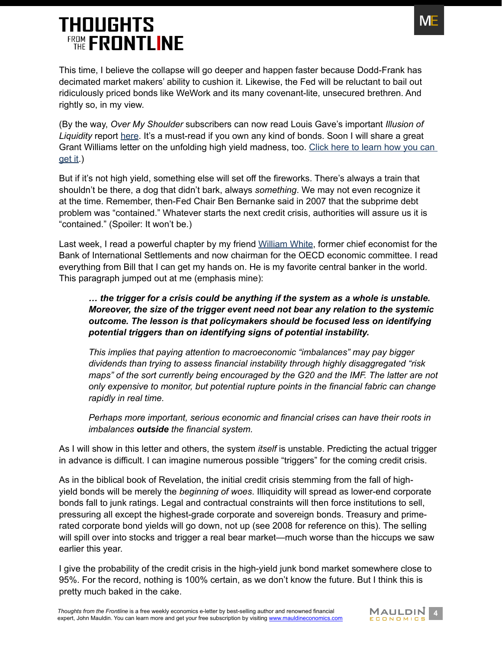This time, I believe the collapse will go deeper and happen faster because Dodd-Frank has decimated market makers' ability to cushion it. Likewise, the Fed will be reluctant to bail out ridiculously priced bonds like WeWork and its many covenant-lite, unsecured brethren. And rightly so, in my view.

(By the way, *Over My Shoulder* subscribers can now read Louis Gave's important *Illusion of Liquidity* report [here](https://www.mauldineconomics.com/over_my_shoulder/louis-gave-the-illusion-of-liquidity). It's a must-read if you own any kind of bonds. Soon I will share a great Grant Williams letter on the unfolding high yield madness, too. [Click here to learn how you can](http://www.mauldineconomics.com/go/v399dc/MEC)  [get it.](http://www.mauldineconomics.com/go/v399dc/MEC))

But if it's not high yield, something else will set off the fireworks. There's always a train that shouldn't be there, a dog that didn't bark, always *something*. We may not even recognize it at the time. Remember, then-Fed Chair Ben Bernanke said in 2007 that the subprime debt problem was "contained." Whatever starts the next credit crisis, authorities will assure us it is "contained." (Spoiler: It won't be.)

Last week, I read a powerful chapter by my friend [William White,](http://williamwhite.ca/about/) former chief economist for the Bank of International Settlements and now chairman for the OECD economic committee. I read everything from Bill that I can get my hands on. He is my favorite central banker in the world. This paragraph jumped out at me (emphasis mine):

#### *… the trigger for a crisis could be anything if the system as a whole is unstable. Moreover, the size of the trigger event need not bear any relation to the systemic outcome. The lesson is that policymakers should be focused less on identifying potential triggers than on identifying signs of potential instability.*

*This implies that paying attention to macroeconomic "imbalances" may pay bigger dividends than trying to assess financial instability through highly disaggregated "risk maps" of the sort currently being encouraged by the G20 and the IMF. The latter are not only expensive to monitor, but potential rupture points in the financial fabric can change rapidly in real time.*

*Perhaps more important, serious economic and financial crises can have their roots in imbalances outside the financial system.*

As I will show in this letter and others, the system *itself* is unstable. Predicting the actual trigger in advance is difficult. I can imagine numerous possible "triggers" for the coming credit crisis.

As in the biblical book of Revelation, the initial credit crisis stemming from the fall of highyield bonds will be merely the *beginning of woes*. Illiquidity will spread as lower-end corporate bonds fall to junk ratings. Legal and contractual constraints will then force institutions to sell, pressuring all except the highest-grade corporate and sovereign bonds. Treasury and primerated corporate bond yields will go down, not up (see 2008 for reference on this). The selling will spill over into stocks and trigger a real bear market—much worse than the hiccups we saw earlier this year.

I give the probability of the credit crisis in the high-yield junk bond market somewhere close to 95%. For the record, nothing is 100% certain, as we don't know the future. But I think this is pretty much baked in the cake.

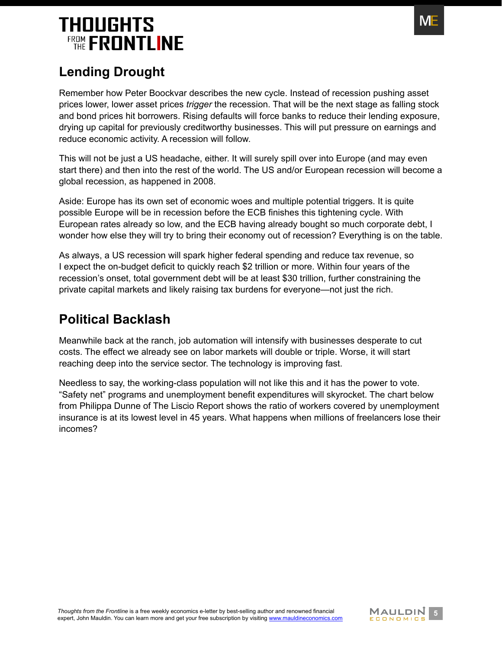

#### <span id="page-4-0"></span>**Lending Drought**

Remember how Peter Boockvar describes the new cycle. Instead of recession pushing asset prices lower, lower asset prices *trigger* the recession. That will be the next stage as falling stock and bond prices hit borrowers. Rising defaults will force banks to reduce their lending exposure, drying up capital for previously creditworthy businesses. This will put pressure on earnings and reduce economic activity. A recession will follow.

This will not be just a US headache, either. It will surely spill over into Europe (and may even start there) and then into the rest of the world. The US and/or European recession will become a global recession, as happened in 2008.

Aside: Europe has its own set of economic woes and multiple potential triggers. It is quite possible Europe will be in recession before the ECB finishes this tightening cycle. With European rates already so low, and the ECB having already bought so much corporate debt, I wonder how else they will try to bring their economy out of recession? Everything is on the table.

As always, a US recession will spark higher federal spending and reduce tax revenue, so I expect the on-budget deficit to quickly reach \$2 trillion or more. Within four years of the recession's onset, total government debt will be at least \$30 trillion, further constraining the private capital markets and likely raising tax burdens for everyone—not just the rich.

#### <span id="page-4-1"></span>**Political Backlash**

Meanwhile back at the ranch, job automation will intensify with businesses desperate to cut costs. The effect we already see on labor markets will double or triple. Worse, it will start reaching deep into the service sector. The technology is improving fast.

Needless to say, the working-class population will not like this and it has the power to vote. "Safety net" programs and unemployment benefit expenditures will skyrocket. The chart below from Philippa Dunne of The Liscio Report shows the ratio of workers covered by unemployment insurance is at its lowest level in 45 years. What happens when millions of freelancers lose their incomes?

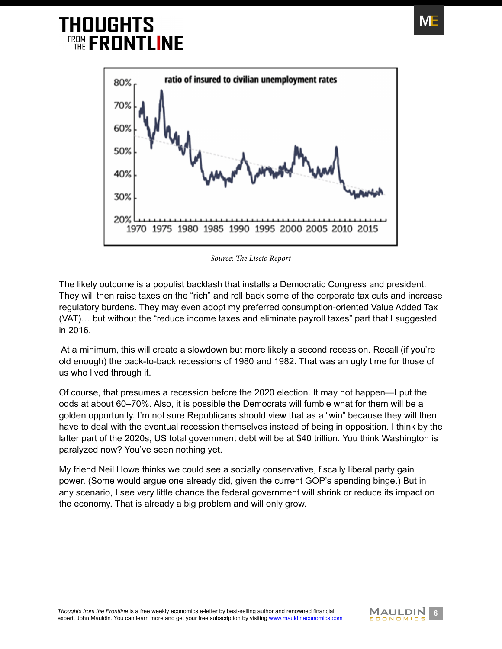

*Source: The Liscio Report*

The likely outcome is a populist backlash that installs a Democratic Congress and president. They will then raise taxes on the "rich" and roll back some of the corporate tax cuts and increase regulatory burdens. They may even adopt my preferred consumption-oriented Value Added Tax (VAT)… but without the "reduce income taxes and eliminate payroll taxes" part that I suggested in 2016.

 At a minimum, this will create a slowdown but more likely a second recession. Recall (if you're old enough) the back-to-back recessions of 1980 and 1982. That was an ugly time for those of us who lived through it.

Of course, that presumes a recession before the 2020 election. It may not happen—I put the odds at about 60–70%. Also, it is possible the Democrats will fumble what for them will be a golden opportunity. I'm not sure Republicans should view that as a "win" because they will then have to deal with the eventual recession themselves instead of being in opposition. I think by the latter part of the 2020s, US total government debt will be at \$40 trillion. You think Washington is paralyzed now? You've seen nothing yet.

My friend Neil Howe thinks we could see a socially conservative, fiscally liberal party gain power. (Some would argue one already did, given the current GOP's spending binge.) But in any scenario, I see very little chance the federal government will shrink or reduce its impact on the economy. That is already a big problem and will only grow.



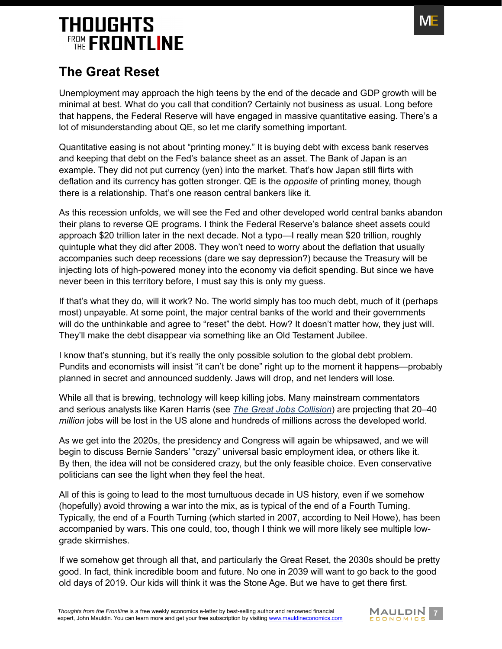

#### <span id="page-6-0"></span>**The Great Reset**

Unemployment may approach the high teens by the end of the decade and GDP growth will be minimal at best. What do you call that condition? Certainly not business as usual. Long before that happens, the Federal Reserve will have engaged in massive quantitative easing. There's a lot of misunderstanding about QE, so let me clarify something important.

Quantitative easing is not about "printing money." It is buying debt with excess bank reserves and keeping that debt on the Fed's balance sheet as an asset. The Bank of Japan is an example. They did not put currency (yen) into the market. That's how Japan still flirts with deflation and its currency has gotten stronger. QE is the *opposite* of printing money, though there is a relationship. That's one reason central bankers like it.

As this recession unfolds, we will see the Fed and other developed world central banks abandon their plans to reverse QE programs. I think the Federal Reserve's balance sheet assets could approach \$20 trillion later in the next decade. Not a typo—I really mean \$20 trillion, roughly quintuple what they did after 2008. They won't need to worry about the deflation that usually accompanies such deep recessions (dare we say depression?) because the Treasury will be injecting lots of high-powered money into the economy via deficit spending. But since we have never been in this territory before, I must say this is only my guess.

If that's what they do, will it work? No. The world simply has too much debt, much of it (perhaps most) unpayable. At some point, the major central banks of the world and their governments will do the unthinkable and agree to "reset" the debt. How? It doesn't matter how, they just will. They'll make the debt disappear via something like an Old Testament Jubilee.

I know that's stunning, but it's really the only possible solution to the global debt problem. Pundits and economists will insist "it can't be done" right up to the moment it happens—probably planned in secret and announced suddenly. Jaws will drop, and net lenders will lose.

While all that is brewing, technology will keep killing jobs. Many mainstream commentators and serious analysts like Karen Harris (see *[The Great Jobs Collision](http://www.mauldineconomics.com/frontlinethoughts/the-great-jobs-collision)*) are projecting that 20–40 *million* jobs will be lost in the US alone and hundreds of millions across the developed world.

As we get into the 2020s, the presidency and Congress will again be whipsawed, and we will begin to discuss Bernie Sanders' "crazy" universal basic employment idea, or others like it. By then, the idea will not be considered crazy, but the only feasible choice. Even conservative politicians can see the light when they feel the heat.

All of this is going to lead to the most tumultuous decade in US history, even if we somehow (hopefully) avoid throwing a war into the mix, as is typical of the end of a Fourth Turning. Typically, the end of a Fourth Turning (which started in 2007, according to Neil Howe), has been accompanied by wars. This one could, too, though I think we will more likely see multiple lowgrade skirmishes.

If we somehow get through all that, and particularly the Great Reset, the 2030s should be pretty good. In fact, think incredible boom and future. No one in 2039 will want to go back to the good old days of 2019. Our kids will think it was the Stone Age. But we have to get there first.

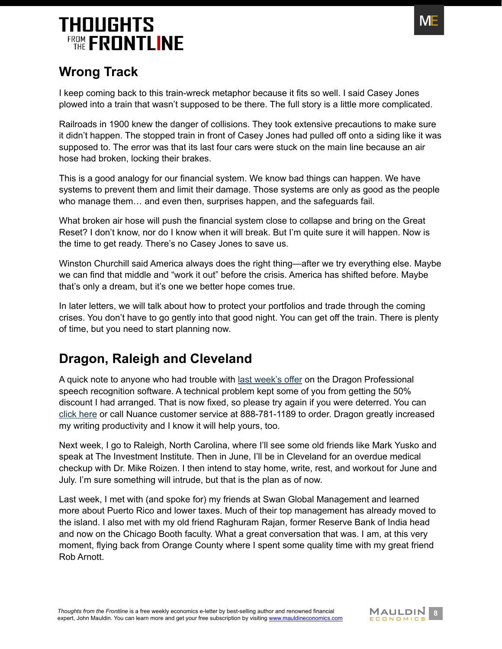

#### <span id="page-7-0"></span>**Wrong Track**

I keep coming back to this train-wreck metaphor because it fits so well. I said Casey Jones plowed into a train that wasn't supposed to be there. The full story is a little more complicated.

Railroads in 1900 knew the danger of collisions. They took extensive precautions to make sure it didn't happen. The stopped train in front of Casey Jones had pulled off onto a siding like it was supposed to. The error was that its last four cars were stuck on the main line because an air hose had broken, locking their brakes.

This is a good analogy for our financial system. We know bad things can happen. We have systems to prevent them and limit their damage. Those systems are only as good as the people who manage them… and even then, surprises happen, and the safeguards fail.

What broken air hose will push the financial system close to collapse and bring on the Great Reset? I don't know, nor do I know when it will break. But I'm quite sure it will happen. Now is the time to get ready. There's no Casey Jones to save us.

Winston Churchill said America always does the right thing—after we try everything else. Maybe we can find that middle and "work it out" before the crisis. America has shifted before. Maybe that's only a dream, but it's one we better hope comes true.

In later letters, we will talk about how to protect your portfolios and trade through the coming crises. You don't have to go gently into that good night. You can get off the train. There is plenty of time, but you need to start planning now.

#### <span id="page-7-1"></span>**Dragon, Raleigh and Cleveland**

A quick note to anyone who had trouble with [last week's offer](http://www.mauldineconomics.com/frontlinethoughts/credit-driven-train-crash-part-1#writing) on the Dragon Professional speech recognition software. A technical problem kept some of you from getting the 50% discount I had arranged. That is now fixed, so please try again if you were deterred. You can [click here](https://shop.nuance.com/store/nuanceus/custom/pbpage.john-mauldin-secret-weapon) or call Nuance customer service at 888-781-1189 to order. Dragon greatly increased my writing productivity and I know it will help yours, too.

Next week, I go to Raleigh, North Carolina, where I'll see some old friends like Mark Yusko and speak at The Investment Institute. Then in June, I'll be in Cleveland for an overdue medical checkup with Dr. Mike Roizen. I then intend to stay home, write, rest, and workout for June and July. I'm sure something will intrude, but that is the plan as of now.

Last week, I met with (and spoke for) my friends at Swan Global Management and learned more about Puerto Rico and lower taxes. Much of their top management has already moved to the island. I also met with my old friend Raghuram Rajan, former Reserve Bank of India head and now on the Chicago Booth faculty. What a great conversation that was. I am, at this very moment, flying back from Orange County where I spent some quality time with my great friend Rob Arnott.

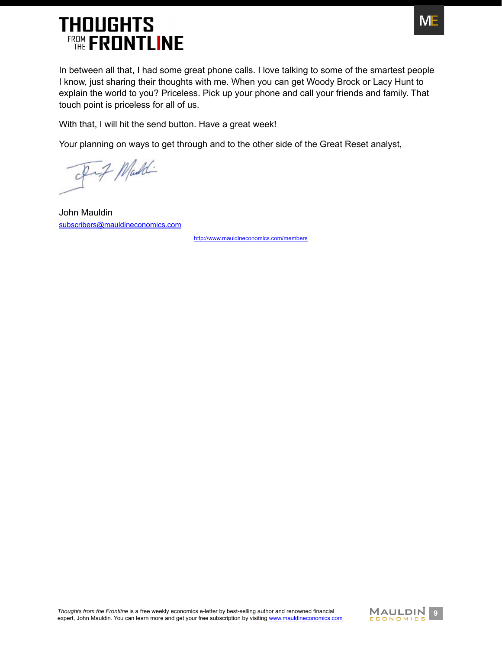

In between all that, I had some great phone calls. I love talking to some of the smartest people I know, just sharing their thoughts with me. When you can get Woody Brock or Lacy Hunt to explain the world to you? Priceless. Pick up your phone and call your friends and family. That touch point is priceless for all of us.

With that, I will hit the send button. Have a great week!

Your planning on ways to get through and to the other side of the Great Reset analyst,

of if Maddi

John Mauldin [subscribers@mauldineconomics.com](mailto:subscribers%40mauldineconomics.com?subject=)

<http://www.mauldineconomics.com/members>